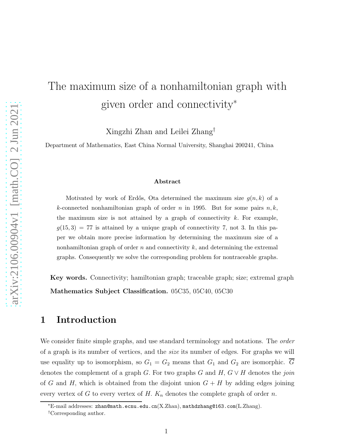# The maximum size of a nonhamiltonian graph with given order and connectivity<sup>∗</sup>

Xingzhi Zhan and Leilei Zhang†

Department of Mathematics, East China Normal University, Shanghai 200241, China

#### Abstract

Motivated by work of Erdős, Ota determined the maximum size  $g(n, k)$  of a k-connected nonhamiltonian graph of order n in 1995. But for some pairs  $n, k$ , the maximum size is not attained by a graph of connectivity  $k$ . For example,  $g(15,3) = 77$  is attained by a unique graph of connectivity 7, not 3. In this paper we obtain more precise information by determining the maximum size of a nonhamiltonian graph of order n and connectivity  $k$ , and determining the extremal graphs. Consequently we solve the corresponding problem for nontraceable graphs.

Key words. Connectivity; hamiltonian graph; traceable graph; size; extremal graph Mathematics Subject Classification. 05C35, 05C40, 05C30

### 1 Introduction

We consider finite simple graphs, and use standard terminology and notations. The *order* of a graph is its number of vertices, and the size its number of edges. For graphs we will use equality up to isomorphism, so  $G_1 = G_2$  means that  $G_1$  and  $G_2$  are isomorphic.  $\overline{G}$ denotes the complement of a graph G. For two graphs G and  $H, G \vee H$  denotes the join of G and H, which is obtained from the disjoint union  $G + H$  by adding edges joining every vertex of G to every vertex of H.  $K_n$  denotes the complete graph of order n.

<sup>∗</sup>E-mail addresses: zhan@math.ecnu.edu.cn(X.Zhan), mathdzhang@163.com(L.Zhang).

<sup>†</sup>Corresponding author.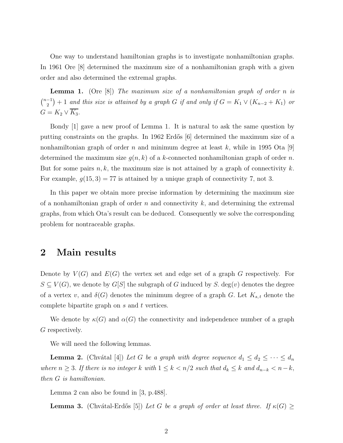One way to understand hamiltonian graphs is to investigate nonhamiltonian graphs. In 1961 Ore [8] determined the maximum size of a nonhamiltonian graph with a given order and also determined the extremal graphs.

**Lemma 1.** (Ore  $[8]$ ) The maximum size of a nonhamiltonian graph of order n is  $\binom{n-1}{2}$  $\binom{-1}{2}+1$  and this size is attained by a graph G if and only if  $G=K_1\vee (K_{n-2}+K_1)$  or  $G = K_2 \vee \overline{K_3}.$ 

Bondy [1] gave a new proof of Lemma 1. It is natural to ask the same question by putting constraints on the graphs. In 1962 Erdős [6] determined the maximum size of a nonhamiltonian graph of order n and minimum degree at least  $k$ , while in 1995 Ota [9] determined the maximum size  $g(n, k)$  of a k-connected nonhamiltonian graph of order n. But for some pairs  $n, k$ , the maximum size is not attained by a graph of connectivity k. For example,  $g(15,3) = 77$  is attained by a unique graph of connectivity 7, not 3.

In this paper we obtain more precise information by determining the maximum size of a nonhamiltonian graph of order  $n$  and connectivity  $k$ , and determining the extremal graphs, from which Ota's result can be deduced. Consequently we solve the corresponding problem for nontraceable graphs.

#### 2 Main results

Denote by  $V(G)$  and  $E(G)$  the vertex set and edge set of a graph G respectively. For  $S \subseteq V(G)$ , we denote by  $G[S]$  the subgraph of G induced by S. deg(v) denotes the degree of a vertex v, and  $\delta(G)$  denotes the minimum degree of a graph G. Let  $K_{s,t}$  denote the complete bipartite graph on s and t vertices.

We denote by  $\kappa(G)$  and  $\alpha(G)$  the connectivity and independence number of a graph G respectively.

We will need the following lemmas.

**Lemma 2.** (Chvátal [4]) Let G be a graph with degree sequence  $d_1 \leq d_2 \leq \cdots \leq d_n$ where  $n \geq 3$ . If there is no integer k with  $1 \leq k < n/2$  such that  $d_k \leq k$  and  $d_{n-k} < n-k$ , then G is hamiltonian.

Lemma 2 can also be found in [3, p.488].

**Lemma 3.** (Chvátal-Erdős [5]) Let G be a graph of order at least three. If  $\kappa(G) \geq$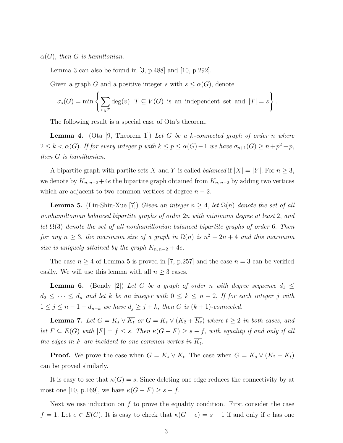$\alpha(G)$ , then G is hamiltonian.

Lemma 3 can also be found in [3, p.488] and [10, p.292].

Given a graph G and a positive integer s with  $s \leq \alpha(G)$ , denote

$$
\sigma_s(G) = \min \left\{ \left. \sum_{v \in T} \deg(v) \right| T \subseteq V(G) \text{ is an independent set and } |T| = s \right\}.
$$

The following result is a special case of Ota's theorem.

**Lemma 4.** (Ota [9, Theorem 1]) Let G be a k-connected graph of order n where  $2 \leq k < \alpha(G)$ . If for every integer p with  $k \leq p \leq \alpha(G)-1$  we have  $\sigma_{p+1}(G) \geq n+p^2-p$ , then G is hamiltonian.

A bipartite graph with partite sets X and Y is called *balanced* if  $|X| = |Y|$ . For  $n \geq 3$ , we denote by  $K_{n,n-2}+4e$  the bipartite graph obtained from  $K_{n,n-2}$  by adding two vertices which are adjacent to two common vertices of degree  $n - 2$ .

**Lemma 5.** (Liu-Shiu-Xue [7]) Given an integer  $n \geq 4$ , let  $\Omega(n)$  denote the set of all nonhamiltonian balanced bipartite graphs of order 2n with minimum degree at least 2, and let  $\Omega(3)$  denote the set of all nonhamiltonian balanced bipartite graphs of order 6. Then for any  $n \geq 3$ , the maximum size of a graph in  $\Omega(n)$  is  $n^2 - 2n + 4$  and this maximum size is uniquely attained by the graph  $K_{n, n-2} + 4e$ .

The case  $n \geq 4$  of Lemma 5 is proved in [7, p.257] and the case  $n = 3$  can be verified easily. We will use this lemma with all  $n \geq 3$  cases.

**Lemma 6.** (Bondy [2]) Let G be a graph of order n with degree sequence  $d_1 \leq$  $d_2 \leq \cdots \leq d_n$  and let k be an integer with  $0 \leq k \leq n-2$ . If for each integer j with  $1 \leq j \leq n-1-d_{n-k}$  we have  $d_j \geq j+k$ , then G is  $(k+1)$ -connected.

**Lemma 7.** Let  $G = K_s \vee \overline{K_t}$  or  $G = K_s \vee (K_2 + \overline{K_t})$  where  $t \geq 2$  in both cases, and let  $F \subseteq E(G)$  with  $|F| = f \leq s$ . Then  $\kappa(G - F) \geq s - f$ , with equality if and only if all the edges in  $F$  are incident to one common vertex in  $K_t$ .

**Proof.** We prove the case when  $G = K_s \vee K_t$ . The case when  $G = K_s \vee (K_2 + K_t)$ can be proved similarly.

It is easy to see that  $\kappa(G) = s$ . Since deleting one edge reduces the connectivity by at most one [10, p.169], we have  $\kappa(G - F) \geq s - f$ .

Next we use induction on  $f$  to prove the equality condition. First consider the case  $f = 1$ . Let  $e \in E(G)$ . It is easy to check that  $\kappa(G - e) = s - 1$  if and only if e has one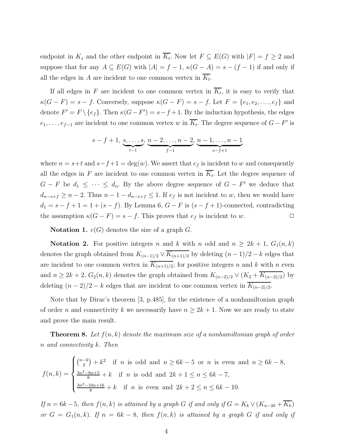endpoint in  $K_s$  and the other endpoint in  $K_t$ . Now let  $F \subseteq E(G)$  with  $|F| = f \geq 2$  and suppose that for any  $A \subseteq E(G)$  with  $|A| = f - 1$ ,  $\kappa(G - A) = s - (f - 1)$  if and only if all the edges in  $A$  are incident to one common vertex in  $K_t$ .

If all edges in  $F$  are incident to one common vertex in  $K_t$ , it is easy to verify that  $\kappa(G - F) = s - f$ . Conversely, suppose  $\kappa(G - F) = s - f$ . Let  $F = \{e_1, e_2, \ldots, e_f\}$  and denote  $F' = F \setminus \{e_f\}$ . Then  $\kappa(G - F') = s - f + 1$ . By the induction hypothesis, the edges  $e_1, \ldots, e_{f-1}$  are incident to one common vertex w in  $\overline{K_t}$ . The degree sequence of  $G - F'$  is

$$
s-f+1, \underbrace{s, \ldots, s}_{t-1}, \underbrace{n-2, \ldots, n-2}_{f-1}, \underbrace{n-1, \ldots, n-1}_{s-f+1}
$$

where  $n = s+t$  and  $s-f+1 = \deg(w)$ . We assert that  $e_f$  is incident to w and consequently all the edges in  $F$  are incident to one common vertex in  $K_t$ . Let the degree sequence of  $G - F$  be  $d_1 \leq \cdots \leq d_n$ . By the above degree sequence of  $G - F'$  we deduce that  $d_{n-s+f} \geq n-2$ . Thus  $n-1-d_{n-s+f} \leq 1$ . If  $e_f$  is not incident to w, then we would have  $d_1 = s - f + 1 = 1 + (s - f)$ . By Lemma 6,  $G - F$  is  $(s - f + 1)$ -connected, contradicting the assumption  $\kappa(G - F) = s - f$ . This proves that  $e_f$  is incident to w.  $\Box$ 

**Notation 1.**  $e(G)$  denotes the size of a graph G.

**Notation 2.** For positive integers n and k with n odd and  $n \geq 2k + 1$ ,  $G_1(n, k)$ denotes the graph obtained from  $K_{(n-1)/2} \vee \overline{K_{(n+1)/2}}$  by deleting  $(n-1)/2 - k$  edges that are incident to one common vertex in  $\overline{K_{(n+1)/2}}$ ; for positive integers n and k with n even and  $n \geq 2k + 2$ ,  $G_2(n, k)$  denotes the graph obtained from  $K_{(n-2)/2} \vee (K_2 + \overline{K_{(n-2)/2}})$  by deleting  $(n-2)/2 - k$  edges that are incident to one common vertex in  $\overline{K_{(n-2)/2}}$ .

Note that by Dirac's theorem [3, p.485], for the existence of a nonhamiltonian graph of order n and connectivity k we necessarily have  $n \geq 2k + 1$ . Now we are ready to state and prove the main result.

**Theorem 8.** Let  $f(n, k)$  denote the maximum size of a nonhamiltonian graph of order n and connectivity k. Then

$$
f(n,k) = \begin{cases} {n-k \choose 2} + k^2 & \text{if } n \text{ is odd and } n \ge 6k - 5 \text{ or } n \text{ is even and } n \ge 6k - 8, \\ \frac{3n^2 - 8n + 5}{8} + k & \text{if } n \text{ is odd and } 2k + 1 \le n \le 6k - 7, \\ \frac{3n^2 - 10n + 16}{8} + k & \text{if } n \text{ is even and } 2k + 2 \le n \le 6k - 10. \end{cases}
$$

If  $n = 6k - 5$ , then  $f(n, k)$  is attained by a graph G if and only if  $G = K_k \vee (K_{n-2k} + \overline{K_k})$ or  $G = G_1(n, k)$ . If  $n = 6k - 8$ , then  $f(n, k)$  is attained by a graph G if and only if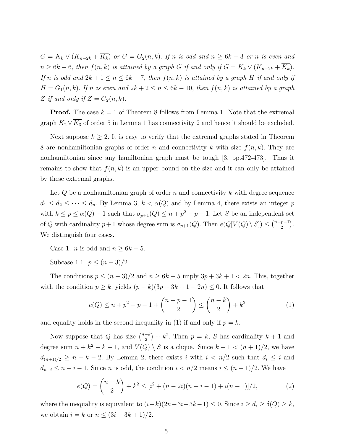$G = K_k \vee (K_{n-2k} + \overline{K_k})$  or  $G = G_2(n,k)$ . If n is odd and  $n \geq 6k-3$  or n is even and  $n \geq 6k - 6$ , then  $f(n, k)$  is attained by a graph G if and only if  $G = K_k \vee (K_{n-2k} + \overline{K_k})$ . If n is odd and  $2k + 1 \le n \le 6k - 7$ , then  $f(n, k)$  is attained by a graph H if and only if  $H = G_1(n, k)$ . If n is even and  $2k + 2 \le n \le 6k - 10$ , then  $f(n, k)$  is attained by a graph Z if and only if  $Z = G_2(n, k)$ .

**Proof.** The case  $k = 1$  of Theorem 8 follows from Lemma 1. Note that the extremal graph  $K_2 \vee \overline{K_3}$  of order 5 in Lemma 1 has connectivity 2 and hence it should be excluded.

Next suppose  $k \geq 2$ . It is easy to verify that the extremal graphs stated in Theorem 8 are nonhamiltonian graphs of order n and connectivity k with size  $f(n, k)$ . They are nonhamiltonian since any hamiltonian graph must be tough [3, pp.472-473]. Thus it remains to show that  $f(n, k)$  is an upper bound on the size and it can only be attained by these extremal graphs.

Let  $Q$  be a nonhamiltonian graph of order n and connectivity k with degree sequence  $d_1 \leq d_2 \leq \cdots \leq d_n$ . By Lemma 3,  $k < \alpha(Q)$  and by Lemma 4, there exists an integer p with  $k \leq p \leq \alpha(Q) - 1$  such that  $\sigma_{p+1}(Q) \leq n + p^2 - p - 1$ . Let S be an independent set of Q with cardinality  $p+1$  whose degree sum is  $\sigma_{p+1}(Q)$ . Then  $e(Q[V(Q) \setminus S]) \leq {n-p-1 \choose 2}$  $\binom{p-1}{2}$ . We distinguish four cases.

Case 1. *n* is odd and  $n \geq 6k - 5$ .

Subcase 1.1.  $p \leq (n-3)/2$ .

The conditions  $p \le (n-3)/2$  and  $n \ge 6k-5$  imply  $3p+3k+1 < 2n$ . This, together with the condition  $p \ge k$ , yields  $(p - k)(3p + 3k + 1 - 2n) \le 0$ . It follows that

$$
e(Q) \le n + p^2 - p - 1 + \binom{n - p - 1}{2} \le \binom{n - k}{2} + k^2 \tag{1}
$$

and equality holds in the second inequality in (1) if and only if  $p = k$ .

Now suppose that Q has size  $\binom{n-k}{2}$  $\binom{-k}{2} + k^2$ . Then  $p = k$ , S has cardinality  $k + 1$  and degree sum  $n + k^2 - k - 1$ , and  $V(Q) \setminus S$  is a clique. Since  $k + 1 < (n + 1)/2$ , we have  $d_{(n+1)/2} \geq n - k - 2$ . By Lemma 2, there exists i with  $i \langle n/2 \rangle$  such that  $d_i \leq i$  and  $d_{n-i} \leq n-i-1$ . Since n is odd, the condition  $i < n/2$  means  $i \leq (n-1)/2$ . We have

$$
e(Q) = {n-k \choose 2} + k^2 \leq [i^2 + (n-2i)(n-i-1) + i(n-1)]/2,
$$
 (2)

where the inequality is equivalent to  $(i-k)(2n-3i-3k-1) \le 0$ . Since  $i \ge d_i \ge \delta(Q) \ge k$ , we obtain  $i = k$  or  $n \leq (3i + 3k + 1)/2$ .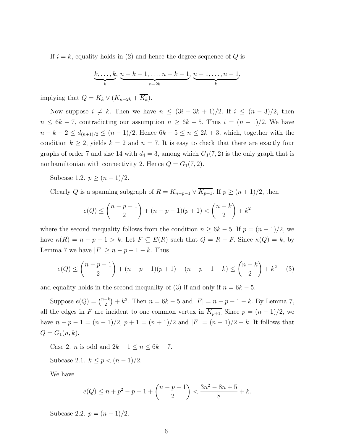If  $i = k$ , equality holds in (2) and hence the degree sequence of Q is

$$
\underbrace{k,\ldots,k}_{k},\underbrace{n-k-1,\ldots,n-k-1}_{n-2k},\underbrace{n-1,\ldots,n-1}_{k},
$$

implying that  $Q = K_k \vee (K_{n-2k} + \overline{K_k}).$ 

Now suppose  $i \neq k$ . Then we have  $n \leq (3i + 3k + 1)/2$ . If  $i \leq (n-3)/2$ , then  $n \leq 6k - 7$ , contradicting our assumption  $n \geq 6k - 5$ . Thus  $i = (n - 1)/2$ . We have  $n-k-2 \leq d_{(n+1)/2} \leq (n-1)/2$ . Hence  $6k-5 \leq n \leq 2k+3$ , which, together with the condition  $k \geq 2$ , yields  $k = 2$  and  $n = 7$ . It is easy to check that there are exactly four graphs of order 7 and size 14 with  $d_4 = 3$ , among which  $G_1(7, 2)$  is the only graph that is nonhamiltonian with connectivity 2. Hence  $Q = G_1(7, 2)$ .

Subcase 1.2.  $p \ge (n-1)/2$ .

Clearly Q is a spanning subgraph of  $R = K_{n-p-1} \vee \overline{K_{p+1}}$ . If  $p \ge (n+1)/2$ , then

$$
e(Q) \le \binom{n-p-1}{2} + (n-p-1)(p+1) < \binom{n-k}{2} + k^2
$$

where the second inequality follows from the condition  $n \geq 6k - 5$ . If  $p = (n - 1)/2$ , we have  $\kappa(R) = n - p - 1 > k$ . Let  $F \subseteq E(R)$  such that  $Q = R - F$ . Since  $\kappa(Q) = k$ , by Lemma 7 we have  $|F| \ge n - p - 1 - k$ . Thus

$$
e(Q) \le \binom{n-p-1}{2} + (n-p-1)(p+1) - (n-p-1-k) \le \binom{n-k}{2} + k^2 \tag{3}
$$

and equality holds in the second inequality of (3) if and only if  $n = 6k - 5$ .

Suppose  $e(Q) = \binom{n-k}{2}$  $\binom{-k}{2} + k^2$ . Then  $n = 6k - 5$  and  $|F| = n - p - 1 - k$ . By Lemma 7, all the edges in F are incident to one common vertex in  $\overline{K_{p+1}}$ . Since  $p = (n-1)/2$ , we have  $n - p - 1 = (n - 1)/2$ ,  $p + 1 = (n + 1)/2$  and  $|F| = (n - 1)/2 - k$ . It follows that  $Q = G_1(n, k).$ 

Case 2. *n* is odd and  $2k + 1 \le n \le 6k - 7$ .

Subcase 2.1.  $k \leq p < (n-1)/2$ .

We have

$$
e(Q) \le n + p^2 - p - 1 + \binom{n - p - 1}{2} < \frac{3n^2 - 8n + 5}{8} + k.
$$

Subcase 2.2.  $p = (n-1)/2$ .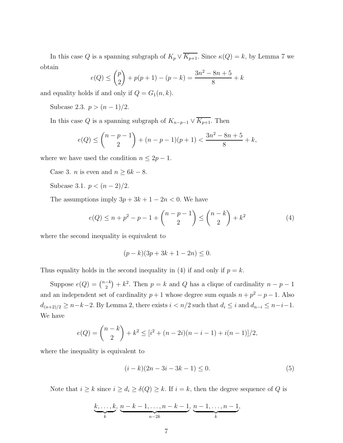In this case Q is a spanning subgraph of  $K_p \vee \overline{K_{p+1}}$ . Since  $\kappa(Q) = k$ , by Lemma 7 we obtain

$$
e(Q) \le \binom{p}{2} + p(p+1) - (p-k) = \frac{3n^2 - 8n + 5}{8} + k
$$

and equality holds if and only if  $Q = G_1(n, k)$ .

Subcase 2.3.  $p > (n-1)/2$ .

In this case Q is a spanning subgraph of  $K_{n-p-1} \vee \overline{K_{p+1}}$ . Then

$$
e(Q) \le {n-p-1 \choose 2} + (n-p-1)(p+1) < \frac{3n^2 - 8n + 5}{8} + k,
$$

where we have used the condition  $n \leq 2p - 1$ .

Case 3. *n* is even and  $n \geq 6k - 8$ .

Subcase 3.1.  $p < (n-2)/2$ .

The assumptions imply  $3p + 3k + 1 - 2n < 0$ . We have

$$
e(Q) \le n + p^2 - p - 1 + \binom{n - p - 1}{2} \le \binom{n - k}{2} + k^2 \tag{4}
$$

where the second inequality is equivalent to

$$
(p-k)(3p+3k+1-2n) \le 0.
$$

Thus equality holds in the second inequality in (4) if and only if  $p = k$ .

Suppose  $e(Q) = \binom{n-k}{2}$  $\binom{-k}{2} + k^2$ . Then  $p = k$  and Q has a clique of cardinality  $n - p - 1$ and an independent set of cardinality  $p+1$  whose degree sum equals  $n+p^2-p-1$ . Also  $d_{(n+2)/2} \geq n-k-2$ . By Lemma 2, there exists  $i < n/2$  such that  $d_i \leq i$  and  $d_{n-i} \leq n-i-1$ . We have

$$
e(Q) = {n-k \choose 2} + k^2 \leq [i^2 + (n-2i)(n-i-1) + i(n-1)]/2,
$$

where the inequality is equivalent to

$$
(i - k)(2n - 3i - 3k - 1) \le 0.
$$
\n(5)

Note that  $i \geq k$  since  $i \geq d_i \geq \delta(Q) \geq k$ . If  $i = k$ , then the degree sequence of Q is

$$
\underbrace{k,\ldots,k}_{k},\underbrace{n-k-1,\ldots,n-k-1}_{n-2k},\underbrace{n-1,\ldots,n-1}_{k},
$$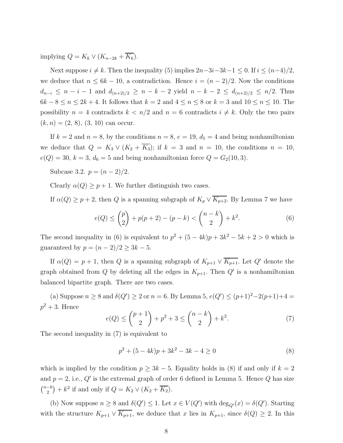implying  $Q = K_k \vee (K_{n-2k} + \overline{K_k}).$ 

Next suppose  $i \neq k$ . Then the inequality (5) implies  $2n-3i-3k-1 \leq 0$ . If  $i \leq (n-4)/2$ , we deduce that  $n \leq 6k - 10$ , a contradiction. Hence  $i = (n-2)/2$ . Now the conditions  $d_{n-i}$  ≤  $n-i-1$  and  $d_{(n+2)/2}$  ≥  $n-k-2$  yield  $n-k-2$  ≤  $d_{(n+2)/2}$  ≤  $n/2$ . Thus  $6k - 8 \le n \le 2k + 4$ . It follows that  $k = 2$  and  $4 \le n \le 8$  or  $k = 3$  and  $10 \le n \le 10$ . The possibility  $n = 4$  contradicts  $k < n/2$  and  $n = 6$  contradicts  $i \neq k$ . Only the two pairs  $(k, n) = (2, 8), (3, 10)$  can occur.

If  $k = 2$  and  $n = 8$ , by the conditions  $n = 8$ ,  $e = 19$ ,  $d_5 = 4$  and being nonhamiltonian we deduce that  $Q = K_3 \vee (K_2 + \overline{K_3})$ ; if  $k = 3$  and  $n = 10$ , the conditions  $n = 10$ ,  $e(Q) = 30, k = 3, d_6 = 5$  and being nonhamiltonian force  $Q = G_2(10, 3)$ .

Subcase 3.2.  $p = (n-2)/2$ .

Clearly  $\alpha(Q) \geq p + 1$ . We further distinguish two cases.

If  $\alpha(Q) \geq p+2$ , then Q is a spanning subgraph of  $K_p \vee \overline{K_{p+2}}$ . By Lemma 7 we have

$$
e(Q) \le \binom{p}{2} + p(p+2) - (p-k) < \binom{n-k}{2} + k^2. \tag{6}
$$

The second inequality in (6) is equivalent to  $p^2 + (5 - 4k)p + 3k^2 - 5k + 2 > 0$  which is guaranteed by  $p = (n-2)/2 \geq 3k - 5$ .

If  $\alpha(Q) = p + 1$ , then Q is a spanning subgraph of  $K_{p+1} \vee \overline{K_{p+1}}$ . Let Q' denote the graph obtained from Q by deleting all the edges in  $K_{p+1}$ . Then  $Q'$  is a nonhamiltonian balanced bipartite graph. There are two cases.

(a) Suppose  $n \ge 8$  and  $\delta(Q') \ge 2$  or  $n = 6$ . By Lemma 5,  $e(Q') \le (p+1)^2 - 2(p+1) + 4 =$  $p^2 + 3$ . Hence

$$
e(Q) \le \binom{p+1}{2} + p^2 + 3 \le \binom{n-k}{2} + k^2. \tag{7}
$$

The second inequality in (7) is equivalent to

$$
p^2 + (5 - 4k)p + 3k^2 - 3k - 4 \ge 0
$$
\n(8)

which is implied by the condition  $p \geq 3k - 5$ . Equality holds in (8) if and only if  $k = 2$ and  $p = 2$ , i.e.,  $Q'$  is the extremal graph of order 6 defined in Lemma 5. Hence Q has size  $\binom{n-k}{0}$  $\binom{-k}{2} + k^2$  if and only if  $Q = K_2 \vee (K_2 + \overline{K_2}).$ 

(b) Now suppose  $n \geq 8$  and  $\delta(Q') \leq 1$ . Let  $x \in V(Q')$  with  $\deg_{Q'}(x) = \delta(Q')$ . Starting with the structure  $K_{p+1} \vee \overline{K_{p+1}}$ , we deduce that x lies in  $K_{p+1}$ , since  $\delta(Q) \geq 2$ . In this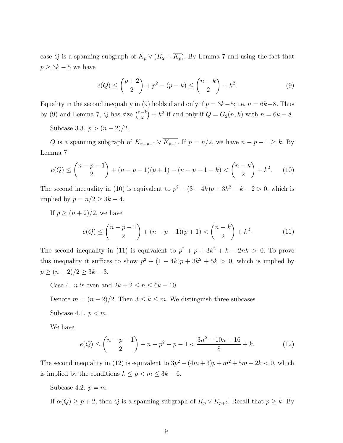case Q is a spanning subgraph of  $K_p \vee (K_2 + \overline{K_p})$ . By Lemma 7 and using the fact that  $p \geq 3k - 5$  we have

$$
e(Q) \le \binom{p+2}{2} + p^2 - (p-k) \le \binom{n-k}{2} + k^2. \tag{9}
$$

Equality in the second inequality in (9) holds if and only if  $p = 3k-5$ ; i.e,  $n = 6k-8$ . Thus by (9) and Lemma 7, Q has size  $\binom{n-k}{2}$  $\binom{-k}{2} + k^2$  if and only if  $Q = G_2(n, k)$  with  $n = 6k - 8$ .

Subcase 3.3.  $p > (n-2)/2$ .

Q is a spanning subgraph of  $K_{n-p-1} \vee \overline{K_{p+1}}$ . If  $p = n/2$ , we have  $n - p - 1 \geq k$ . By Lemma 7

$$
e(Q) \le \binom{n-p-1}{2} + (n-p-1)(p+1) - (n-p-1-k) < \binom{n-k}{2} + k^2. \tag{10}
$$

The second inequality in (10) is equivalent to  $p^2 + (3 - 4k)p + 3k^2 - k - 2 > 0$ , which is implied by  $p = n/2 \geq 3k - 4$ .

If  $p \ge (n+2)/2$ , we have

$$
e(Q) \le \binom{n-p-1}{2} + (n-p-1)(p+1) < \binom{n-k}{2} + k^2. \tag{11}
$$

The second inequality in (11) is equivalent to  $p^2 + p + 3k^2 + k - 2nk > 0$ . To prove this inequality it suffices to show  $p^2 + (1 - 4k)p + 3k^2 + 5k > 0$ , which is implied by  $p \ge (n+2)/2 \ge 3k-3.$ 

Case 4. *n* is even and  $2k + 2 \le n \le 6k - 10$ .

Denote  $m = (n-2)/2$ . Then  $3 \le k \le m$ . We distinguish three subcases.

Subcase 4.1.  $p < m$ .

We have

$$
e(Q) \le \binom{n-p-1}{2} + n + p^2 - p - 1 < \frac{3n^2 - 10n + 16}{8} + k. \tag{12}
$$

The second inequality in (12) is equivalent to  $3p^2 - (4m+3)p + m^2 + 5m - 2k < 0$ , which is implied by the conditions  $k \le p < m \le 3k - 6$ .

Subcase 4.2.  $p = m$ .

If  $\alpha(Q) \geq p+2$ , then Q is a spanning subgraph of  $K_p \vee \overline{K_{p+2}}$ . Recall that  $p \geq k$ . By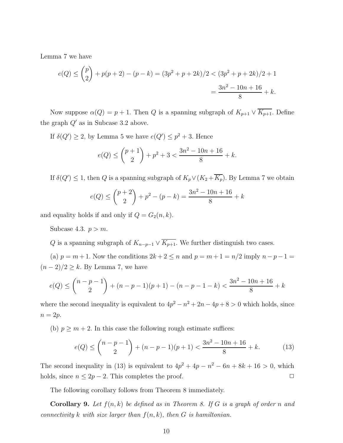Lemma 7 we have

$$
e(Q) \le {p \choose 2} + p(p+2) - (p-k) = (3p^2 + p + 2k)/2 < (3p^2 + p + 2k)/2 + 1
$$
  
= 
$$
\frac{3n^2 - 10n + 16}{8} + k.
$$

Now suppose  $\alpha(Q) = p + 1$ . Then Q is a spanning subgraph of  $K_{p+1} \vee \overline{K_{p+1}}$ . Define the graph  $Q'$  as in Subcase 3.2 above.

If  $\delta(Q') \geq 2$ , by Lemma 5 we have  $e(Q') \leq p^2 + 3$ . Hence

$$
e(Q) \le {p+1 \choose 2} + p^2 + 3 < \frac{3n^2 - 10n + 16}{8} + k.
$$

If  $\delta(Q') \leq 1$ , then Q is a spanning subgraph of  $K_p \vee (K_2 + \overline{K_p})$ . By Lemma 7 we obtain

$$
e(Q) \le {p+2 \choose 2} + p^2 - (p-k) = \frac{3n^2 - 10n + 16}{8} + k
$$

and equality holds if and only if  $Q = G_2(n, k)$ .

Subcase 4.3.  $p > m$ .

Q is a spanning subgraph of  $K_{n-p-1} \vee \overline{K_{p+1}}$ . We further distinguish two cases.

(a)  $p = m + 1$ . Now the conditions  $2k + 2 \le n$  and  $p = m + 1 = n/2$  imply  $n - p - 1 =$  $(n-2)/2 \geq k$ . By Lemma 7, we have

$$
e(Q) \le {n-p-1 \choose 2} + (n-p-1)(p+1) - (n-p-1-k) < \frac{3n^2 - 10n + 16}{8} + k
$$

where the second inequality is equivalent to  $4p^2 - n^2 + 2n - 4p + 8 > 0$  which holds, since  $n = 2p$ .

(b)  $p \ge m + 2$ . In this case the following rough estimate suffices:

$$
e(Q) \le {n-p-1 \choose 2} + (n-p-1)(p+1) < \frac{3n^2 - 10n + 16}{8} + k. \tag{13}
$$

The second inequality in (13) is equivalent to  $4p^2 + 4p - n^2 - 6n + 8k + 16 > 0$ , which holds, since  $n \leq 2p - 2$ . This completes the proof.  $\Box$ 

The following corollary follows from Theorem 8 immediately.

**Corollary 9.** Let  $f(n, k)$  be defined as in Theorem 8. If G is a graph of order n and connectivity k with size larger than  $f(n, k)$ , then G is hamiltonian.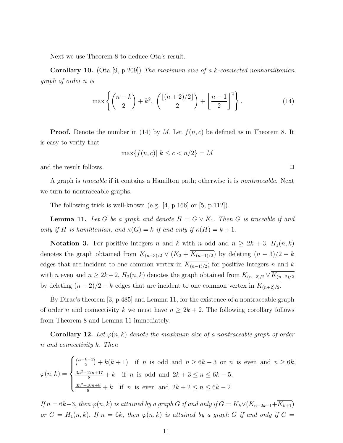Next we use Theorem 8 to deduce Ota's result.

**Corollary 10.** (Ota [9, p.209]) The maximum size of a k-connected nonhamiltonian graph of order n is

$$
\max\left\{ \binom{n-k}{2} + k^2, \left( \frac{\lfloor (n+2)/2 \rfloor}{2} \right) + \left( \frac{n-1}{2} \right)^2 \right\}.
$$
 (14)

**Proof.** Denote the number in (14) by M. Let  $f(n, c)$  be defined as in Theorem 8. It is easy to verify that

$$
\max\{f(n,c)|\ k\leq c
$$

and the result follows.  $\Box$ 

A graph is traceable if it contains a Hamilton path; otherwise it is nontraceable. Next we turn to nontraceable graphs.

The following trick is well-known (e.g. [4, p.166] or [5, p.112]).

**Lemma 11.** Let G be a graph and denote  $H = G \vee K_1$ . Then G is traceable if and only if H is hamiltonian, and  $\kappa(G) = k$  if and only if  $\kappa(H) = k + 1$ .

**Notation 3.** For positive integers n and k with n odd and  $n \geq 2k+3$ ,  $H_1(n,k)$ denotes the graph obtained from  $K_{(n-3)/2} \vee (K_2 + \overline{K_{(n-1)/2}})$  by deleting  $(n-3)/2 - k$ edges that are incident to one common vertex in  $\overline{K_{(n-1)/2}}$ ; for positive integers n and k with n even and  $n \ge 2k + 2$ ,  $H_2(n, k)$  denotes the graph obtained from  $K_{(n-2)/2} \vee \overline{K_{(n+2)/2}}$ by deleting  $(n-2)/2 - k$  edges that are incident to one common vertex in  $\overline{K_{(n+2)/2}}$ .

By Dirac's theorem [3, p.485] and Lemma 11, for the existence of a nontraceable graph of order n and connectivity k we must have  $n \geq 2k + 2$ . The following corollary follows from Theorem 8 and Lemma 11 immediately.

**Corollary 12.** Let  $\varphi(n, k)$  denote the maximum size of a nontraceable graph of order n and connectivity k. Then

$$
\varphi(n,k) = \begin{cases} {n-k-1 \choose 2} + k(k+1) & \text{if } n \text{ is odd and } n \ge 6k - 3 \text{ or } n \text{ is even and } n \ge 6k, \\ \frac{3n^2 - 12n + 17}{8} + k & \text{if } n \text{ is odd and } 2k + 3 \le n \le 6k - 5, \\ \frac{3n^2 - 10n + 8}{8} + k & \text{if } n \text{ is even and } 2k + 2 \le n \le 6k - 2. \end{cases}
$$

If  $n = 6k-3$ , then  $\varphi(n, k)$  is attained by a graph G if and only if  $G = K_k \vee (K_{n-2k-1} + \overline{K_{k+1}})$ or  $G = H_1(n, k)$ . If  $n = 6k$ , then  $\varphi(n, k)$  is attained by a graph G if and only if  $G =$